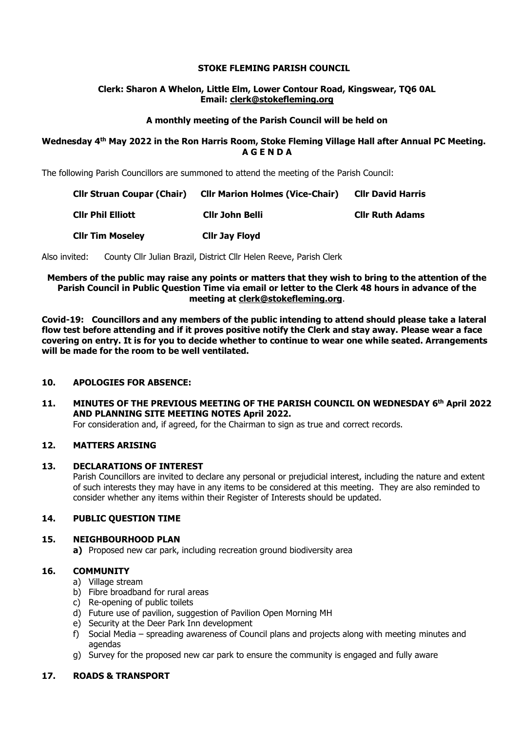## **STOKE FLEMING PARISH COUNCIL**

## **Clerk: Sharon A Whelon, Little Elm, Lower Contour Road, Kingswear, TQ6 0AL Email: clerk@stokefleming.org**

## **A monthly meeting of the Parish Council will be held on**

## **Wednesday 4 th May 2022 in the Ron Harris Room, Stoke Fleming Village Hall after Annual PC Meeting. A G E N D A**

The following Parish Councillors are summoned to attend the meeting of the Parish Council:

| <b>Cllr Struan Coupar (Chair)</b> | <b>CIIr Marion Holmes (Vice-Chair)</b> | <b>Cllr David Harris</b> |
|-----------------------------------|----------------------------------------|--------------------------|
| <b>Clir Phil Elliott</b>          | Cllr John Belli                        | <b>CIIr Ruth Adams</b>   |
| <b>Clir Tim Moseley</b>           | <b>Clir Jay Floyd</b>                  |                          |

Also invited: County Cllr Julian Brazil, District Cllr Helen Reeve, Parish Clerk

## **Members of the public may raise any points or matters that they wish to bring to the attention of the Parish Council in Public Question Time via email or letter to the Clerk 48 hours in advance of the meeting at [clerk@stokefleming.org](about:blank)**.

**Covid-19: Councillors and any members of the public intending to attend should please take a lateral flow test before attending and if it proves positive notify the Clerk and stay away. Please wear a face covering on entry. It is for you to decide whether to continue to wear one while seated. Arrangements will be made for the room to be well ventilated.**

# **10. APOLOGIES FOR ABSENCE:**

**11. MINUTES OF THE PREVIOUS MEETING OF THE PARISH COUNCIL ON WEDNESDAY 6 th April 2022 AND PLANNING SITE MEETING NOTES April 2022.**

For consideration and, if agreed, for the Chairman to sign as true and correct records.

## **12. MATTERS ARISING**

### **13. DECLARATIONS OF INTEREST**

Parish Councillors are invited to declare any personal or prejudicial interest, including the nature and extent of such interests they may have in any items to be considered at this meeting. They are also reminded to consider whether any items within their Register of Interests should be updated.

# **14. PUBLIC QUESTION TIME**

# **15. NEIGHBOURHOOD PLAN**

**a)** Proposed new car park, including recreation ground biodiversity area

## **16. COMMUNITY**

- a) Village stream
- b) Fibre broadband for rural areas
- c) Re-opening of public toilets
- d) Future use of pavilion, suggestion of Pavilion Open Morning MH
- e) Security at the Deer Park Inn development
- f) Social Media spreading awareness of Council plans and projects along with meeting minutes and agendas
- g) Survey for the proposed new car park to ensure the community is engaged and fully aware

# **17. ROADS & TRANSPORT**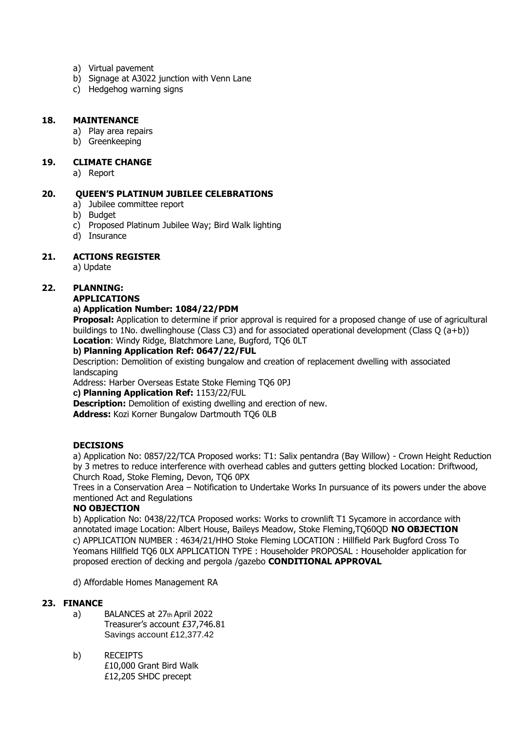- a) Virtual pavement
- b) Signage at A3022 junction with Venn Lane
- c) Hedgehog warning signs

#### **18. MAINTENANCE**

- a) Play area repairs
- b) Greenkeeping

#### **19. CLIMATE CHANGE**

a) Report

### **20. QUEEN'S PLATINUM JUBILEE CELEBRATIONS**

- a) Jubilee committee report
- b) Budget
- c) Proposed Platinum Jubilee Way; Bird Walk lighting
- d) Insurance

### **21. ACTIONS REGISTER**

a) Update

## **22. PLANNING:**

#### **APPLICATIONS**

#### **a) Application Number: 1084/22/PDM**

**Proposal:** Application to determine if prior approval is required for a proposed change of use of agricultural buildings to 1No. dwellinghouse (Class C3) and for associated operational development (Class Q (a+b)) **Location**: Windy Ridge, Blatchmore Lane, Bugford, TQ6 0LT

#### **b) Planning Application Ref: 0647/22/FUL**

Description: Demolition of existing bungalow and creation of replacement dwelling with associated landscaping

Address: Harber Overseas Estate Stoke Fleming TQ6 0PJ

**c) Planning Application Ref:** 1153/22/FUL

**Description:** Demolition of existing dwelling and erection of new.

**Address:** Kozi Korner Bungalow Dartmouth TQ6 0LB

#### **DECISIONS**

a) Application No: 0857/22/TCA Proposed works: T1: Salix pentandra (Bay Willow) - Crown Height Reduction by 3 metres to reduce interference with overhead cables and gutters getting blocked Location: Driftwood, Church Road, Stoke Fleming, Devon, TQ6 0PX

Trees in a Conservation Area – Notification to Undertake Works In pursuance of its powers under the above mentioned Act and Regulations

#### **NO OBJECTION**

b) Application No: 0438/22/TCA Proposed works: Works to crownlift T1 Sycamore in accordance with annotated image Location: Albert House, Baileys Meadow, Stoke Fleming,TQ60QD **NO OBJECTION**  c) APPLICATION NUMBER : 4634/21/HHO Stoke Fleming LOCATION : Hillfield Park Bugford Cross To Yeomans Hillfield TQ6 0LX APPLICATION TYPE : Householder PROPOSAL : Householder application for proposed erection of decking and pergola /gazebo **CONDITIONAL APPROVAL** 

d) Affordable Homes Management RA

### **23. FINANCE**

- a) BALANCES at 27th April 2022 Treasurer's account £37,746.81 Savings account £12,377.42
- b) RECEIPTS £10,000 Grant Bird Walk £12,205 SHDC precept